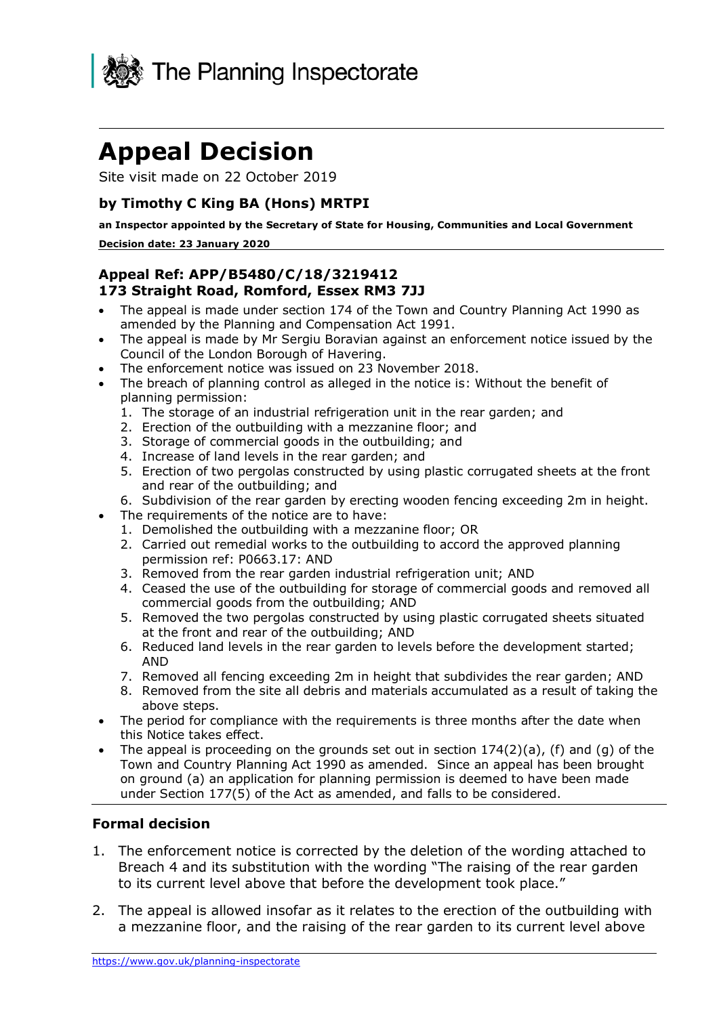

# **Appeal Decision**

Site visit made on 22 October 2019

#### **by Timothy C King BA (Hons) MRTPI**

**an Inspector appointed by the Secretary of State for Housing, Communities and Local Government Decision date: 23 January 2020** 

#### **Appeal Ref: APP/B5480/C/18/3219412 173 Straight Road, Romford, Essex RM3 7JJ**

- • The appeal is made under section 174 of the Town and Country Planning Act 1990 as amended by the Planning and Compensation Act 1991.
- • The appeal is made by Mr Sergiu Boravian against an enforcement notice issued by the Council of the London Borough of Havering.
- The enforcement notice was issued on 23 November 2018.
- • The breach of planning control as alleged in the notice is: Without the benefit of planning permission:
	- 1. The storage of an industrial refrigeration unit in the rear garden; and
	- 2. Erection of the outbuilding with a mezzanine floor; and
	- 3. Storage of commercial goods in the outbuilding; and
	- 4. Increase of land levels in the rear garden; and
	- 5. Erection of two pergolas constructed by using plastic corrugated sheets at the front and rear of the outbuilding; and
	- 6. Subdivision of the rear garden by erecting wooden fencing exceeding 2m in height.
- • The requirements of the notice are to have:
	- 1. Demolished the outbuilding with a mezzanine floor; OR
	- 2. Carried out remedial works to the outbuilding to accord the approved planning permission ref: P0663.17: AND
	- 3. Removed from the rear garden industrial refrigeration unit; AND
	- 4. Ceased the use of the outbuilding for storage of commercial goods and removed all commercial goods from the outbuilding; AND
	- 5. Removed the two pergolas constructed by using plastic corrugated sheets situated at the front and rear of the outbuilding; AND
	- 6. Reduced land levels in the rear garden to levels before the development started; AND
	- 7. Removed all fencing exceeding 2m in height that subdivides the rear garden; AND
	- 8. Removed from the site all debris and materials accumulated as a result of taking the above steps.
- • The period for compliance with the requirements is three months after the date when this Notice takes effect.
- The appeal is proceeding on the grounds set out in section  $174(2)(a)$ , (f) and (g) of the Town and Country Planning Act 1990 as amended. Since an appeal has been brought on ground (a) an application for planning permission is deemed to have been made under Section 177(5) of the Act as amended, and falls to be considered.

#### **Formal decision**

- 1. The enforcement notice is corrected by the deletion of the wording attached to Breach 4 and its substitution with the wording "The raising of the rear garden to its current level above that before the development took place."
- 2. The appeal is allowed insofar as it relates to the erection of the outbuilding with a mezzanine floor, and the raising of the rear garden to its current level above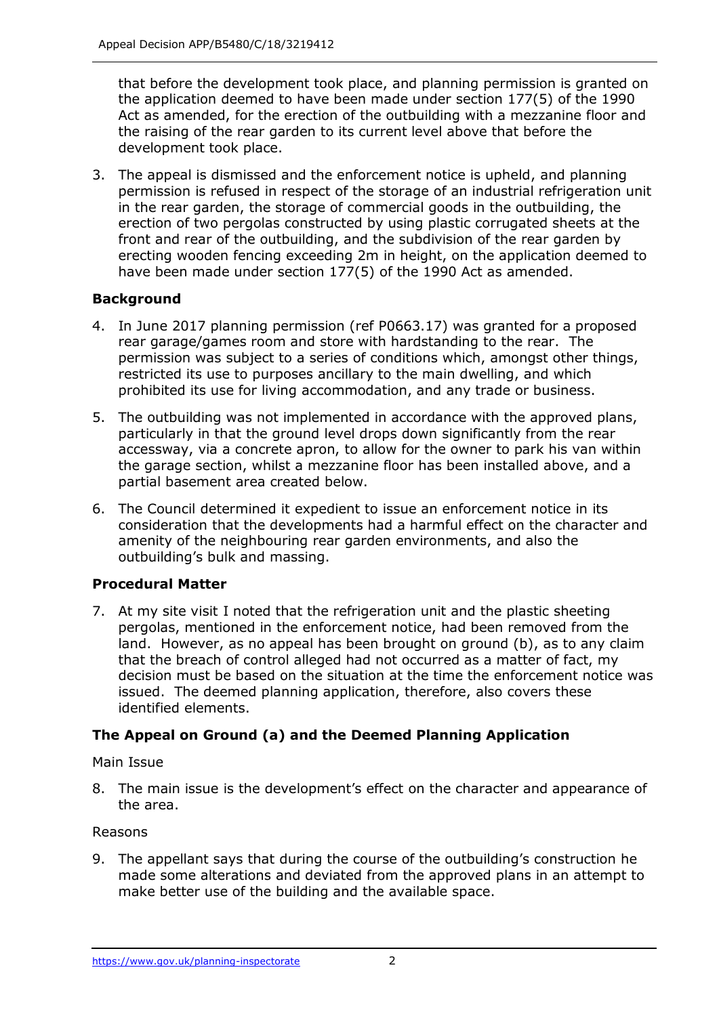that before the development took place, and planning permission is granted on the application deemed to have been made under section 177(5) of the 1990 Act as amended, for the erection of the outbuilding with a mezzanine floor and the raising of the rear garden to its current level above that before the development took place.

 3. The appeal is dismissed and the enforcement notice is upheld, and planning in the rear garden, the storage of commercial goods in the outbuilding, the erection of two pergolas constructed by using plastic corrugated sheets at the front and rear of the outbuilding, and the subdivision of the rear garden by erecting wooden fencing exceeding 2m in height, on the application deemed to have been made under section 177(5) of the 1990 Act as amended. permission is refused in respect of the storage of an industrial refrigeration unit

# **Background**

- 4. In June 2017 planning permission (ref P0663.17) was granted for a proposed rear garage/games room and store with hardstanding to the rear. The permission was subject to a series of conditions which, amongst other things, restricted its use to purposes ancillary to the main dwelling, and which prohibited its use for living accommodation, and any trade or business.
- 5. The outbuilding was not implemented in accordance with the approved plans, accessway, via a concrete apron, to allow for the owner to park his van within the garage section, whilst a mezzanine floor has been installed above, and a particularly in that the ground level drops down significantly from the rear partial basement area created below.
- 6. The Council determined it expedient to issue an enforcement notice in its consideration that the developments had a harmful effect on the character and amenity of the neighbouring rear garden environments, and also the outbuilding's bulk and massing.

# **Procedural Matter**

 7. At my site visit I noted that the refrigeration unit and the plastic sheeting pergolas, mentioned in the enforcement notice, had been removed from the land. However, as no appeal has been brought on ground (b), as to any claim that the breach of control alleged had not occurred as a matter of fact, my decision must be based on the situation at the time the enforcement notice was issued. The deemed planning application, therefore, also covers these identified elements.

# **The Appeal on Ground (a) and the Deemed Planning Application**

Main Issue

 8. The main issue is the development's effect on the character and appearance of the area.

# Reasons

 9. The appellant says that during the course of the outbuilding's construction he made some alterations and deviated from the approved plans in an attempt to make better use of the building and the available space.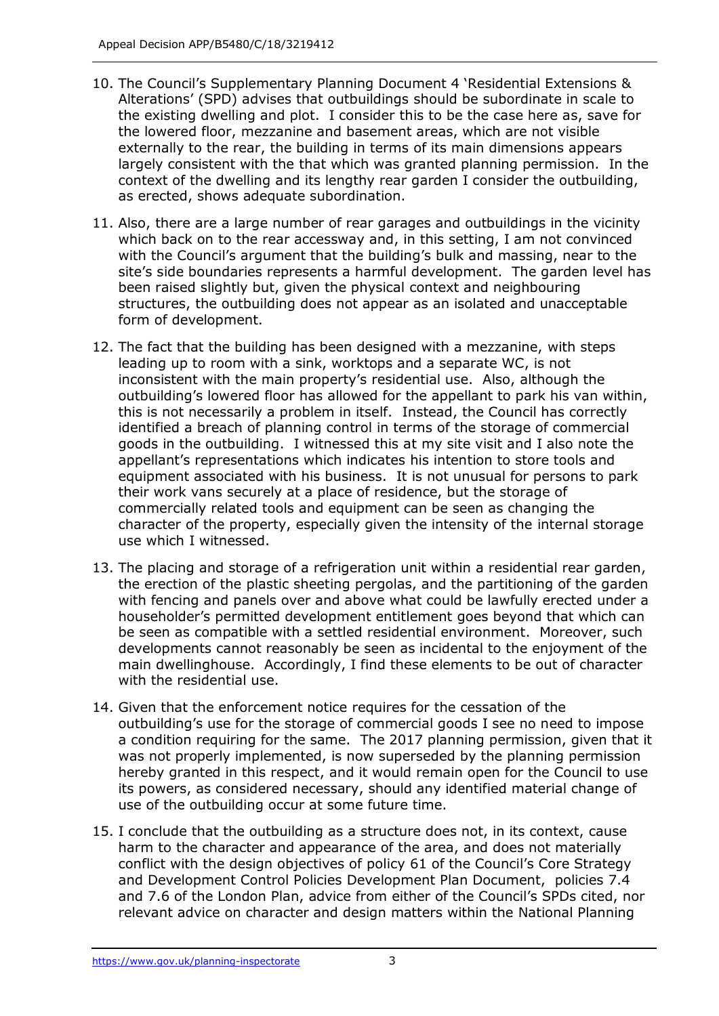- 10. The Council's Supplementary Planning Document 4 'Residential Extensions & Alterations' (SPD) advises that outbuildings should be subordinate in scale to the existing dwelling and plot. I consider this to be the case here as, save for the lowered floor, mezzanine and basement areas, which are not visible largely consistent with the that which was granted planning permission. In the context of the dwelling and its lengthy rear garden I consider the outbuilding, externally to the rear, the building in terms of its main dimensions appears as erected, shows adequate subordination.
- 11. Also, there are a large number of rear garages and outbuildings in the vicinity which back on to the rear accessway and, in this setting, I am not convinced with the Council's argument that the building's bulk and massing, near to the site's side boundaries represents a harmful development. The garden level has been raised slightly but, given the physical context and neighbouring structures, the outbuilding does not appear as an isolated and unacceptable form of development.
- form of development. 12. The fact that the building has been designed with a mezzanine, with steps leading up to room with a sink, worktops and a separate WC, is not inconsistent with the main property's residential use. Also, although the outbuilding's lowered floor has allowed for the appellant to park his van within, this is not necessarily a problem in itself. Instead, the Council has correctly identified a breach of planning control in terms of the storage of commercial goods in the outbuilding. I witnessed this at my site visit and I also note the appellant's representations which indicates his intention to store tools and equipment associated with his business. It is not unusual for persons to park their work vans securely at a place of residence, but the storage of commercially related tools and equipment can be seen as changing the character of the property, especially given the intensity of the internal storage use which I witnessed.
- 13. The placing and storage of a refrigeration unit within a residential rear garden, the erection of the plastic sheeting pergolas, and the partitioning of the garden with fencing and panels over and above what could be lawfully erected under a be seen as compatible with a settled residential environment. Moreover, such developments cannot reasonably be seen as incidental to the enjoyment of the main dwellinghouse. Accordingly, I find these elements to be out of character with the residential use. householder's permitted development entitlement goes beyond that which can
- 14. Given that the enforcement notice requires for the cessation of the outbuilding's use for the storage of commercial goods I see no need to impose a condition requiring for the same. The 2017 planning permission, given that it was not properly implemented, is now superseded by the planning permission hereby granted in this respect, and it would remain open for the Council to use its powers, as considered necessary, should any identified material change of use of the outbuilding occur at some future time.
- 15. I conclude that the outbuilding as a structure does not, in its context, cause harm to the character and appearance of the area, and does not materially conflict with the design objectives of policy 61 of the Council's Core Strategy and Development Control Policies Development Plan Document, policies 7.4 and 7.6 of the London Plan, advice from either of the Council's SPDs cited, nor relevant advice on character and design matters within the National Planning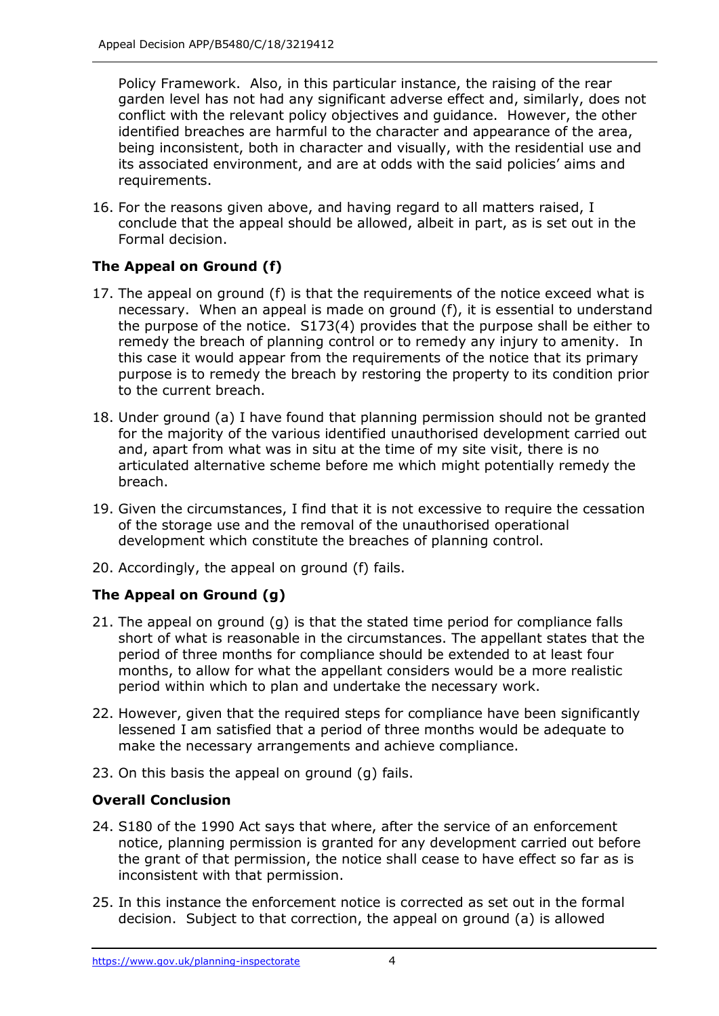Policy Framework. Also, in this particular instance, the raising of the rear garden level has not had any significant adverse effect and, similarly, does not conflict with the relevant policy objectives and guidance. However, the other identified breaches are harmful to the character and appearance of the area, being inconsistent, both in character and visually, with the residential use and its associated environment, and are at odds with the said policies' aims and requirements.

 16. For the reasons given above, and having regard to all matters raised, I conclude that the appeal should be allowed, albeit in part, as is set out in the Formal decision.

# **The Appeal on Ground (f)**

- 17. The appeal on ground (f) is that the requirements of the notice exceed what is necessary. When an appeal is made on ground (f), it is essential to understand the purpose of the notice. S173(4) provides that the purpose shall be either to remedy the breach of planning control or to remedy any injury to amenity. In this case it would appear from the requirements of the notice that its primary purpose is to remedy the breach by restoring the property to its condition prior to the current breach.
- 18. Under ground (a) I have found that planning permission should not be granted for the majority of the various identified unauthorised development carried out and, apart from what was in situ at the time of my site visit, there is no articulated alternative scheme before me which might potentially remedy the breach.
- breach.<br>19. Given the circumstances, I find that it is not excessive to require the cessation of the storage use and the removal of the unauthorised operational development which constitute the breaches of planning control.
- 20. Accordingly, the appeal on ground (f) fails.

# **The Appeal on Ground (g)**

- 21. The appeal on ground (g) is that the stated time period for compliance falls short of what is reasonable in the circumstances. The appellant states that the period of three months for compliance should be extended to at least four months, to allow for what the appellant considers would be a more realistic period within which to plan and undertake the necessary work.
- 22. However, given that the required steps for compliance have been significantly lessened I am satisfied that a period of three months would be adequate to make the necessary arrangements and achieve compliance.
- 23. On this basis the appeal on ground (g) fails.

# **Overall Conclusion**

- 24. S180 of the 1990 Act says that where, after the service of an enforcement notice, planning permission is granted for any development carried out before the grant of that permission, the notice shall cease to have effect so far as is inconsistent with that permission.
- 25. In this instance the enforcement notice is corrected as set out in the formal decision. Subject to that correction, the appeal on ground (a) is allowed